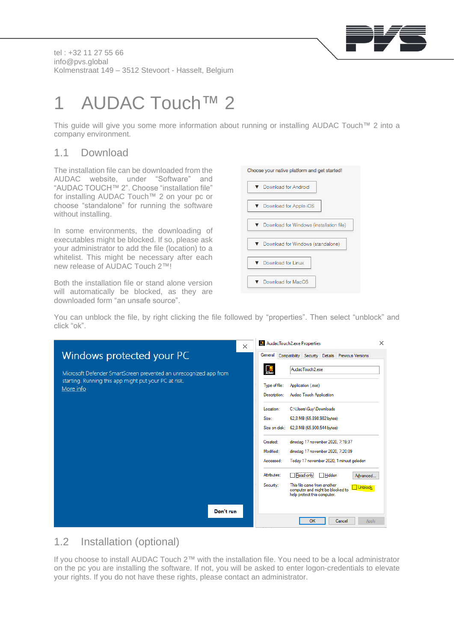

tel : +32 11 27 55 66 info@pvs.global Kolmenstraat 149 – 3512 Stevoort - Hasselt, Belgium

# 1 AUDAC Touch™ 2

This guide will give you some more information about running or installing AUDAC Touch™ 2 into a company environment.

### 1.1 Download

The installation file can be downloaded from the AUDAC website, under "Software" and "AUDAC TOUCH™ 2". Choose "installation file" for installing AUDAC Touch™ 2 on your pc or choose "standalone" for running the software without installing.

In some environments, the downloading of executables might be blocked. If so, please ask your administrator to add the file (location) to a whitelist. This might be necessary after each new release of AUDAC Touch 2™!

Both the installation file or stand alone version will automatically be blocked, as they are downloaded form "an unsafe source".

| Choose your native platform and get started! |
|----------------------------------------------|
| ▼ Download for Android                       |
| ▼ Download for Apple iOS                     |
| ▼ Download for Windows (installation file)   |
| ▼ Download for Windows (standalone)          |
| ▼ Download for Linux                         |
| Download for MacOS                           |

You can unblock the file, by right clicking the file followed by "properties". Then select "unblock" and click "ok".

|                                                                    | X         | AudacTouch2.exe Properties                                                                                             | $\times$ |
|--------------------------------------------------------------------|-----------|------------------------------------------------------------------------------------------------------------------------|----------|
| Windows protected your PC                                          |           | General<br>Compatibility Security Details Previous Versions                                                            |          |
| Microsoft Defender SmartScreen prevented an unrecognized app from  |           | $\mathcal{Q}$<br>AudacTouch2.exe                                                                                       |          |
| starting. Running this app might put your PC at risk.<br>More info |           | Type of file:<br>Application (.exe)                                                                                    |          |
|                                                                    |           | <b>Audac Touch Application</b><br>Description:                                                                         |          |
|                                                                    |           | C:\Users\Guy\Downloads<br>Location:                                                                                    |          |
|                                                                    |           | Size:<br>62,8 MB (65.898.982 bytes)                                                                                    |          |
|                                                                    |           | 62,8 MB (65.900.544 bytes)<br>Size on disk:                                                                            |          |
|                                                                    |           | dinsdag 17 november 2020, 7:19:37<br>Created:                                                                          |          |
|                                                                    |           | Modified:<br>dinsdag 17 november 2020, 7:20:09<br>Today 17 november 2020, 1 minuut geleden<br>Accessed:                |          |
|                                                                    |           |                                                                                                                        |          |
|                                                                    |           | Attributes:<br>Read-only<br>Hidden<br>Advanced                                                                         |          |
|                                                                    |           | This file came from another<br>Security:<br>Unblock<br>computer and might be blocked to<br>help protect this computer. |          |
|                                                                    |           |                                                                                                                        |          |
|                                                                    | Don't run | OK<br>Cancel<br>Apply                                                                                                  |          |
|                                                                    |           |                                                                                                                        |          |

#### 1.2 Installation (optional)

If you choose to install AUDAC Touch 2™ with the installation file. You need to be a local administrator on the pc you are installing the software. If not, you will be asked to enter logon-credentials to elevate your rights. If you do not have these rights, please contact an administrator.